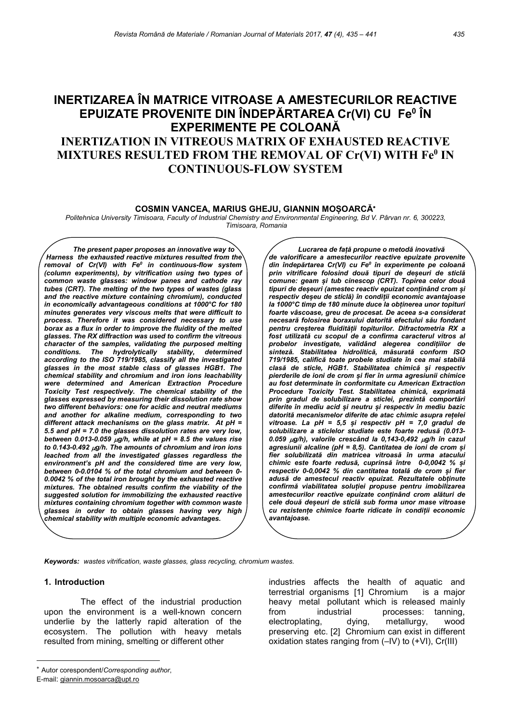# INERTIZAREA ÎN MATRICE VITROASE A AMESTECURILOR REACTIVE EPUIZATE PROVENITE DIN ÎNDEPĂRTAREA Cr(VI) CU Feº ÎN EXPERIMENTE PE COLOANĂ INERTIZATION IN VITREOUS MATRIX OF EXHAUSTED REACTIVE MIXTURES RESULTED FROM THE REMOVAL OF Cr(VI) WITH Fe<sup>0</sup> IN CONTINUOUS-FLOW SYSTEM

#### COSMIN VANCEA, MARIUS GHEJU, GIANNIN MOȘOARCĂ

Politehnica University Timisoara, Faculty of Industrial Chemistry and Environmental Engineering, Bd V. Pârvan nr. 6, 300223, Timisoara, Romania

The present paper proposes an innovative way to Harness the exhausted reactive mixtures resulted from the removal of Cr(VI) with Fe $^o$  in continuous-flow system (column experiments), by vitrification using two types of common waste glasses: window panes and cathode ray tubes (CRT). The melting of the two types of wastes (glass and the reactive mixture containing chromium), conducted in economically advantageous conditions at 1000°C for 180 minutes generates very viscous melts that were difficult to process. Therefore it was considered necessary to use borax as a flux in order to improve the fluidity of the melted glasses. The RX diffraction was used to confirm the vitreous character of the samples, validating the purposed melting conditions. The hydrolytically stability, determined according to the ISO 719/1985, classify all the investigated glasses in the most stable class of glasses HGB1. The chemical stability and chromium and iron ions leachability were determined and American Extraction Procedure Toxicity Test respectively. The chemical stability of the glasses expressed by measuring their dissolution rate show two different behaviors: one for acidic and neutral mediums and another for alkaline medium, corresponding to two different attack mechanisms on the glass matrix. At pH = 5.5 and pH = 7.0 the glasses dissolution rates are very low, between 0.013-0.059  $\mu g/h$ , while at pH = 8.5 the values rise to 0.143-0.492  $\mu$ g/h. The amounts of chromium and iron ions leached from all the investigated glasses regardless the environment's pH and the considered time are very low, between 0-0.0104 % of the total chromium and between 0- 0.0042 % of the total iron brought by the exhausted reactive mixtures. The obtained results confirm the viability of the suggested solution for immobilizing the exhausted reactive mixtures containing chromium together with common waste glasses in order to obtain glasses having very high chemical stability with multiple economic advantages.

Lucrarea de față propune o metodă inovativă de valorificare a amestecurilor reactive epuizate provenite din îndepărtarea Cr(VI) cu Fe<sup>0</sup> în experimente pe coloană prin vitrificare folosind două tipuri de deșeuri de sticlă comune: geam și tub cinescop (CRT). Topirea celor două tipuri de deșeuri (amestec reactiv epuizat conținând crom și respectiv deșeu de sticlă) în condiții economic avantajoase la 1000°C timp de 180 minute duce la obținerea unor topituri foarte vâscoase, greu de procesat. De aceea s-a considerat necesară folosirea boraxului datorită efectului său fondant pentru creșterea fluidității topiturilor. Difractometria RX a fost utilizată cu scopul de a confirma caracterul vitros al probelor investigate, validând alegerea condițiilor de sinteză. Stabilitatea hidrolitică, măsurată conform ISO 719/1985, califică toate probele studiate în cea mai stabilă clasă de sticle, HGB1. Stabilitatea chimică și respectiv pierderile de ioni de crom și fier în urma agresiunii chimice au fost determinate în conformitate cu American Extraction Procedure Toxicity Test. Stabilitatea chimică, exprimată prin gradul de solubilizare a sticlei, prezintă comportări diferite în mediu acid și neutru și respectiv în mediu bazic datorită mecanismelor diferite de atac chimic asupra rețelei vitroase. La pH = 5,5 și respectiv pH = 7,0 gradul de solubilizare a sticlelor studiate este foarte redusă (0.013- 0.059  $\mu$ g/h), valorile crescând la 0,143-0,492  $\mu$ g/h în cazul agresiunii alcaline (pH = 8.5). Cantitatea de ioni de crom și fier solubilizată din matricea vitroasă în urma atacului chimic este foarte redusă, cuprinsă între 0-0,0042 % și respectiv 0-0,0042 % din cantitatea totală de crom și fier adusă de amestecul reactiv epuizat. Rezultatele obținute confirmă viabilitatea soluției propuse pentru imobilizarea amestecurilor reactive epuizate conținând crom alături de cele două deșeuri de sticlă sub forma unor mase vitroase cu rezistențe chimice foarte ridicate în condiții economic avantajoase.

Keywords: wastes vitrification, waste glasses, glass recycling, chromium wastes.

#### 1. Introduction

The effect of the industrial production upon the environment is a well-known concern underlie by the latterly rapid alteration of the ecosystem. The pollution with heavy metals resulted from mining, smelting or different other

 industries affects the health of aquatic and terrestrial organisms [1] Chromium is a major heavy metal pollutant which is released mainly from industrial processes: tanning, electroplating, dying, metallurgy, wood preserving etc. [2] Chromium can exist in different oxidation states ranging from (–IV) to (+VI), Cr(III)

Autor corespondent/Corresponding author,

E-mail: giannin.mosoarca@upt.ro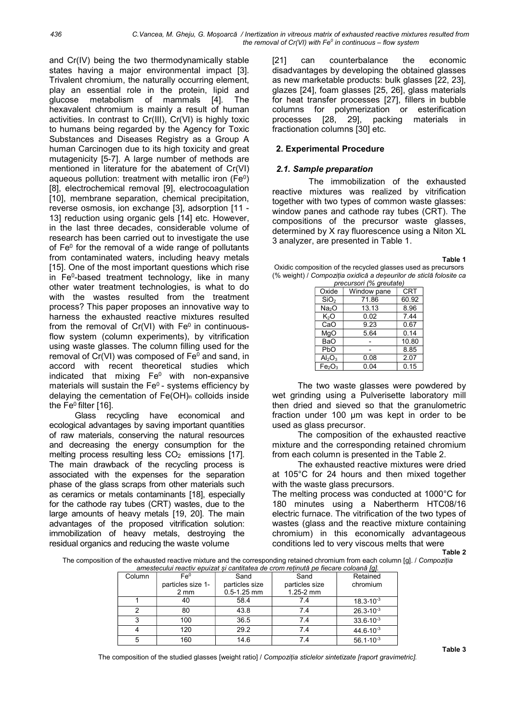and Cr(IV) being the two thermodynamically stable states having a major environmental impact [3]. Trivalent chromium, the naturally occurring element, play an essential role in the protein, lipid and glucose metabolism of mammals [4]. The hexavalent chromium is mainly a result of human activities. In contrast to Cr(III), Cr(VI) is highly toxic to humans being regarded by the Agency for Toxic Substances and Diseases Registry as a Group A human Carcinogen due to its high toxicity and great mutagenicity [5-7]. A large number of methods are mentioned in literature for the abatement of Cr(VI) aqueous pollution: treatment with metallic iron (Fe<sup>0</sup>) [8], electrochemical removal [9], electrocoagulation [10], membrane separation, chemical precipitation, reverse osmosis, ion exchange [3], adsorption [11 - 13] reduction using organic gels [14] etc. However, in the last three decades, considerable volume of research has been carried out to investigate the use of Fe<sup>0</sup> for the removal of a wide range of pollutants from contaminated waters, including heavy metals [15]. One of the most important questions which rise in Fe<sup>0</sup>-based treatment technology, like in many other water treatment technologies, is what to do with the wastes resulted from the treatment process? This paper proposes an innovative way to harness the exhausted reactive mixtures resulted from the removal of  $Cr(VI)$  with  $Fe<sup>0</sup>$  in continuousflow system (column experiments), by vitrification using waste glasses. The column filling used for the removal of  $Cr(VI)$  was composed of  $Fe<sup>0</sup>$  and sand, in accord with recent theoretical studies which indicated that mixing  $Fe<sup>0</sup>$  with non-expansive materials will sustain the  $Fe<sup>0</sup>$  - systems efficiency by delaying the cementation of  $Fe(OH)<sub>n</sub>$  colloids inside the Fe $<sup>0</sup>$  filter [16].</sup>

Glass recycling have economical and ecological advantages by saving important quantities of raw materials, conserving the natural resources and decreasing the energy consumption for the melting process resulting less  $CO<sub>2</sub>$  emissions [17]. The main drawback of the recycling process is associated with the expenses for the separation phase of the glass scraps from other materials such as ceramics or metals contaminants [18], especially for the cathode ray tubes (CRT) wastes, due to the large amounts of heavy metals [19, 20]. The main advantages of the proposed vitrification solution: immobilization of heavy metals, destroying the residual organics and reducing the waste volume

[21] can counterbalance the economic disadvantages by developing the obtained glasses as new marketable products: bulk glasses [22, 23], glazes [24], foam glasses [25, 26], glass materials for heat transfer processes [27], fillers in bubble columns for polymerization or esterification processes [28, 29], packing materials in fractionation columns [30] etc.

# 2. Experimental Procedure

### 2.1. Sample preparation

The immobilization of the exhausted reactive mixtures was realized by vitrification together with two types of common waste glasses: window panes and cathode ray tubes (CRT). The compositions of the precursor waste glasses, determined by X ray fluorescence using a Niton XL 3 analyzer, are presented in Table 1.

Table 1

Oxidic composition of the recycled glasses used as precursors (% weight) / Compoziția oxidică a deșeurilor de sticlă folosite ca

| precursori (% greutate)        |             |            |  |  |
|--------------------------------|-------------|------------|--|--|
| Oxide                          | Window pane | <b>CRT</b> |  |  |
| SiO <sub>2</sub>               | 71.86       | 60.92      |  |  |
| Na <sub>2</sub> O              | 13.13       | 8.96       |  |  |
| K <sub>2</sub> O               | 0.02        | 7.44       |  |  |
| CaO                            | 9.23        | 0.67       |  |  |
| MqO                            | 5.64        | 0.14       |  |  |
| BaO                            |             | 10.80      |  |  |
| PbO                            |             | 8.85       |  |  |
| $Al_2O_3$                      | 0.08        | 2.07       |  |  |
| Fe <sub>2</sub> O <sub>3</sub> | 0.04        | 0.15       |  |  |

The two waste glasses were powdered by wet grinding using a Pulverisette laboratory mill then dried and sieved so that the granulometric fraction under 100 µm was kept in order to be used as glass precursor.

The composition of the exhausted reactive mixture and the corresponding retained chromium from each column is presented in the Table 2.

The exhausted reactive mixtures were dried at 105°C for 24 hours and then mixed together with the waste glass precursors.

The melting process was conducted at 1000°C for 180 minutes using a Nabertherm HTC08/16 electric furnace. The vitrification of the two types of wastes (glass and the reactive mixture containing chromium) in this economically advantageous conditions led to very viscous melts that were

Table 2

The composition of the exhausted reactive mixture and the corresponding retained chromium from each column [g]. / Compoziția amestecului reactiv epuizat și cantitatea de crom reținută pe fiecare coloană [g].

| amestecului reacuv epuizat și caninalea de crom reunula pe necare coloană ful. |                   |                 |                |                      |  |
|--------------------------------------------------------------------------------|-------------------|-----------------|----------------|----------------------|--|
| Column                                                                         | Fe <sup>0</sup>   | Sand            | Sand           | Retained             |  |
|                                                                                | particles size 1- | particles size  | particles size | chromium             |  |
|                                                                                | $2 \, \text{mm}$  | $0.5 - 1.25$ mm | $1.25 - 2$ mm  |                      |  |
|                                                                                | 40                | 58.4            | 7.4            | $18.3 - 10^{-3}$     |  |
|                                                                                | 80                | 43.8            | 7.4            | $26.3 \cdot 10^{-3}$ |  |
|                                                                                | 100               | 36.5            | 7.4            | $33.6 - 10^{-3}$     |  |
|                                                                                | 120               | 29.2            | 7.4            | $44.6 \cdot 10^{-3}$ |  |
|                                                                                | 160               | 14.6            | 7.4            | $56.1 \cdot 10^{-3}$ |  |

The composition of the studied glasses [weight ratio] / Compoziția sticlelor sintetizate [raport gravimetric].

Table 3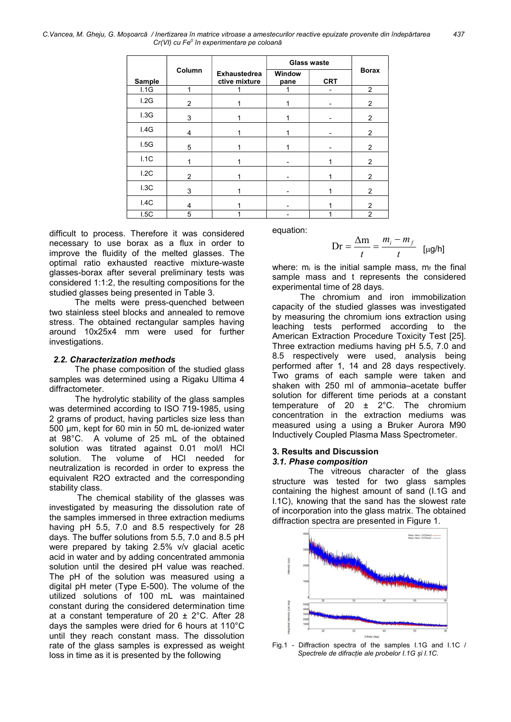C.Vancea, M. Gheju, G. Moșoarcă / Inertizarea în matrice vitroase a amestecurilor reactive epuizate provenite din îndepărtarea 437  $Cr(VI)$  cu  $Fe^{0}$  în experimentare pe coloană

|        |                |                                      | <b>Glass waste</b> |            |                |
|--------|----------------|--------------------------------------|--------------------|------------|----------------|
| Sample | Column         | <b>Exhaustedrea</b><br>ctive mixture | Window<br>pane     | <b>CRT</b> | <b>Borax</b>   |
| 1.1G   | 1              | 1                                    | 1                  |            | $\overline{2}$ |
| 1.2G   | $\overline{2}$ |                                      |                    |            | $\overline{2}$ |
| 1.3G   | 3              |                                      |                    |            | $\overline{2}$ |
| 1.4G   | 4              |                                      |                    |            | $\overline{2}$ |
| 1.5G   | 5              |                                      |                    |            | 2              |
| 1.1C   |                |                                      |                    |            | $\overline{2}$ |
| 1.2C   | $\mathfrak{p}$ |                                      |                    |            | 2              |
| 1.3C   | 3              |                                      |                    |            | $\overline{2}$ |
| 1.4C   | $\overline{4}$ |                                      |                    |            | $\overline{2}$ |
| 1.5C   | 5              | 1                                    |                    |            | $\overline{2}$ |

difficult to process. Therefore it was considered necessary to use borax as a flux in order to improve the fluidity of the melted glasses. The optimal ratio exhausted reactive mixture-waste glasses-borax after several preliminary tests was considered 1:1:2, the resulting compositions for the studied glasses being presented in Table 3.

The melts were press-quenched between two stainless steel blocks and annealed to remove stress. The obtained rectangular samples having around 10x25x4 mm were used for further investigations.

#### 2.2. Characterization methods

The phase composition of the studied glass samples was determined using a Rigaku Ultima 4 diffractometer.

The hydrolytic stability of the glass samples was determined according to ISO 719-1985, using 2 grams of product, having particles size less than 500 µm, kept for 60 min in 50 mL de-ionized water at 98°C. A volume of 25 mL of the obtained solution was titrated against 0.01 mol/l HCl solution. The volume of HCl needed for neutralization is recorded in order to express the equivalent R2O extracted and the corresponding stability class.

The chemical stability of the glasses was investigated by measuring the dissolution rate of the samples immersed in three extraction mediums having pH 5.5, 7.0 and 8.5 respectively for 28 days. The buffer solutions from 5.5, 7.0 and 8.5 pH were prepared by taking 2.5% v/v glacial acetic acid in water and by adding concentrated ammonia solution until the desired pH value was reached. The pH of the solution was measured using a digital pH meter (Type E-500). The volume of the utilized solutions of 100 mL was maintained constant during the considered determination time at a constant temperature of 20  $\pm$  2°C. After 28 days the samples were dried for 6 hours at 110°C until they reach constant mass. The dissolution rate of the glass samples is expressed as weight loss in time as it is presented by the following

equation:

$$
Dr = \frac{\Delta m}{t} = \frac{m_i - m_f}{t} \quad [\mu g/h]
$$

where:  $m_i$  is the initial sample mass,  $m_f$  the final sample mass and t represents the considered experimental time of 28 days.

The chromium and iron immobilization capacity of the studied glasses was investigated by measuring the chromium ions extraction using leaching tests performed according to the American Extraction Procedure Toxicity Test [25]. Three extraction mediums having pH 5.5, 7.0 and 8.5 respectively were used, analysis being performed after 1, 14 and 28 days respectively. Two grams of each sample were taken and shaken with 250 ml of ammonia–acetate buffer solution for different time periods at a constant temperature of 20  $\pm$  2°C. The chromium concentration in the extraction mediums was measured using a using a Bruker Aurora M90 Inductively Coupled Plasma Mass Spectrometer.

#### 3. Results and Discussion 3.1. Phase composition

The vitreous character of the glass structure was tested for two glass samples containing the highest amount of sand (I.1G and I.1C), knowing that the sand has the slowest rate of incorporation into the glass matrix. The obtained diffraction spectra are presented in Figure 1.



Fig.1 - Diffraction spectra of the samples I.1G and I.1C / Spectrele de difracție ale probelor I.1G și I.1C.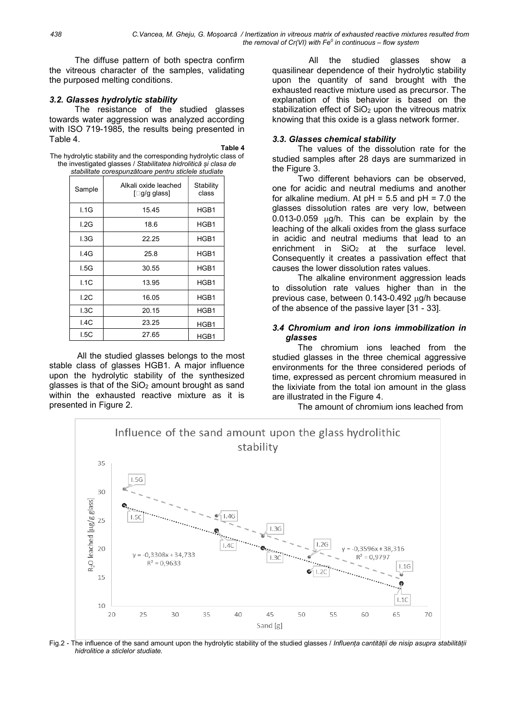The diffuse pattern of both spectra confirm the vitreous character of the samples, validating the purposed melting conditions.

### 3.2. Glasses hydrolytic stability

The resistance of the studied glasses towards water aggression was analyzed according with ISO 719-1985, the results being presented in Table 4.

Table 4

The hydrolytic stability and the corresponding hydrolytic class of the investigated glasses / Stabilitatea hidrolitică și clasa de stabilitate corespunzătoare pentru sticlele studiate

| clasmato coroopanzatoaro pontra eticiolo etaquate |                                      |                    |  |  |  |
|---------------------------------------------------|--------------------------------------|--------------------|--|--|--|
| Sample                                            | Alkali oxide leached<br>[□g/g glass] | Stability<br>class |  |  |  |
| 1.1G                                              | 15.45                                | HGB1               |  |  |  |
| I.2G                                              | 18.6                                 | HGB1               |  |  |  |
| 1.3G                                              | 22.25                                | HGB1               |  |  |  |
| 1.4G                                              | 25.8                                 | HGB1               |  |  |  |
| 1.5G                                              | 30.55                                | HGB1               |  |  |  |
| 1.1C                                              | 13.95                                | HGB1               |  |  |  |
| L2C                                               | 16.05                                | HGB1               |  |  |  |
| 1.3C                                              | 20.15                                | HGB1               |  |  |  |
| 1.4C                                              | 23.25                                | HGB1               |  |  |  |
| I.5C                                              | 27.65                                | HGB1               |  |  |  |

All the studied glasses belongs to the most stable class of glasses HGB1. A major influence upon the hydrolytic stability of the synthesized glasses is that of the  $SiO<sub>2</sub>$  amount brought as sand within the exhausted reactive mixture as it is presented in Figure 2.

All the studied glasses show a quasilinear dependence of their hydrolytic stability upon the quantity of sand brought with the exhausted reactive mixture used as precursor. The explanation of this behavior is based on the stabilization effect of  $SiO<sub>2</sub>$  upon the vitreous matrix knowing that this oxide is a glass network former.

#### 3.3. Glasses chemical stability

The values of the dissolution rate for the studied samples after 28 days are summarized in the Figure 3.

Two different behaviors can be observed, one for acidic and neutral mediums and another for alkaline medium. At  $pH = 5.5$  and  $pH = 7.0$  the glasses dissolution rates are very low, between  $0.013-0.059$   $\mu$ g/h. This can be explain by the leaching of the alkali oxides from the glass surface in acidic and neutral mediums that lead to an enrichment in  $SiO<sub>2</sub>$  at the surface level. Consequently it creates a passivation effect that causes the lower dissolution rates values.

The alkaline environment aggression leads to dissolution rate values higher than in the previous case, between 0.143-0.492 ug/h because of the absence of the passive layer [31 - 33].

### 3.4 Chromium and iron ions immobilization in glasses

The chromium ions leached from the studied glasses in the three chemical aggressive environments for the three considered periods of time, expressed as percent chromium measured in the lixiviate from the total ion amount in the glass are illustrated in the Figure 4.

The amount of chromium ions leached from



Fig.2 - The influence of the sand amount upon the hydrolytic stability of the studied glasses / Influența cantității de nisip asupra stabilității hidrolitice a sticlelor studiate.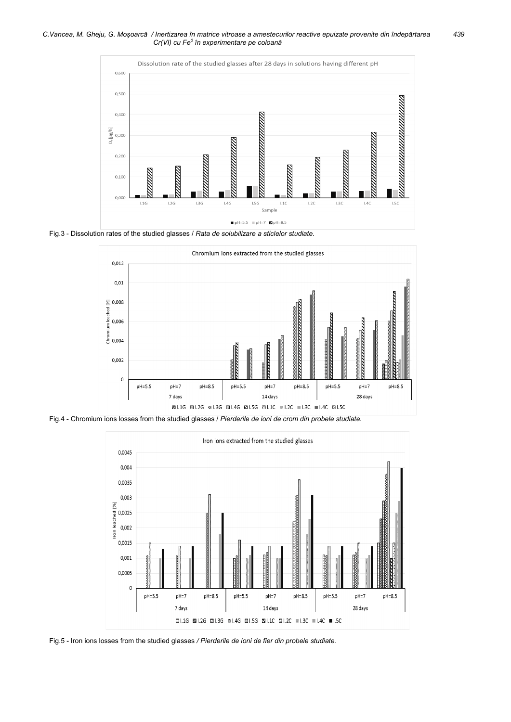C.Vancea, M. Gheju, G. Moșoarcă / Inertizarea în matrice vitroase a amestecurilor reactive epuizate provenite din îndepărtarea 439  $Cr(VI)$  cu  $Fe^{0}$  în experimentare pe coloană



Fig.3 - Dissolution rates of the studied glasses / Rata de solubilizare a sticlelor studiate.



Fig.4 - Chromium ions losses from the studied glasses / Pierderile de ioni de crom din probele studiate.



Fig.5 - Iron ions losses from the studied glasses / Pierderile de ioni de fier din probele studiate.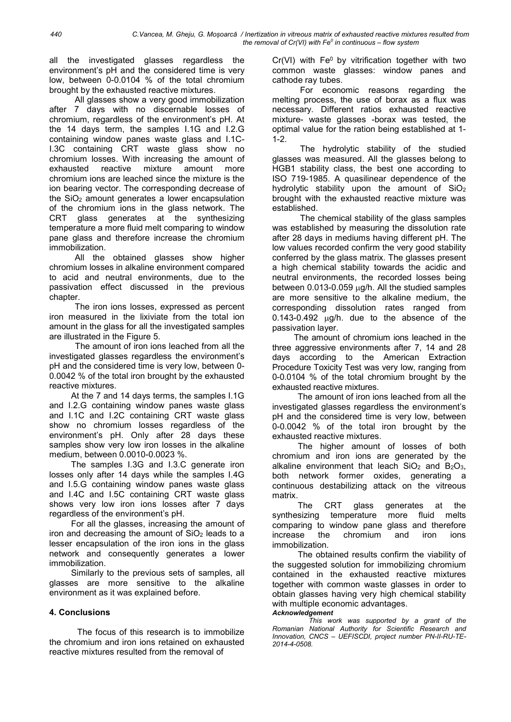all the investigated glasses regardless the environment's pH and the considered time is very low, between 0-0.0104 % of the total chromium brought by the exhausted reactive mixtures.

All glasses show a very good immobilization after 7 days with no discernable losses of chromium, regardless of the environment's pH. At the 14 days term, the samples I.1G and I.2.G containing window panes waste glass and I.1C-I.3C containing CRT waste glass show no chromium losses. With increasing the amount of exhausted reactive mixture amount more chromium ions are leached since the mixture is the ion bearing vector. The corresponding decrease of the  $SiO<sub>2</sub>$  amount generates a lower encapsulation of the chromium ions in the glass network. The CRT glass generates at the synthesizing temperature a more fluid melt comparing to window pane glass and therefore increase the chromium immobilization.

All the obtained glasses show higher chromium losses in alkaline environment compared to acid and neutral environments, due to the passivation effect discussed in the previous chapter.

The iron ions losses, expressed as percent iron measured in the lixiviate from the total ion amount in the glass for all the investigated samples are illustrated in the Figure 5.

The amount of iron ions leached from all the investigated glasses regardless the environment's pH and the considered time is very low, between 0- 0.0042 % of the total iron brought by the exhausted reactive mixtures.

At the 7 and 14 days terms, the samples I.1G and I.2.G containing window panes waste glass and I.1C and I.2C containing CRT waste glass show no chromium losses regardless of the environment's pH. Only after 28 days these samples show very low iron losses in the alkaline medium, between 0.0010-0.0023 %.

The samples I.3G and I.3.C generate iron losses only after 14 days while the samples I.4G and I.5.G containing window panes waste glass and I.4C and I.5C containing CRT waste glass shows very low iron ions losses after 7 days regardless of the environment's pH.

For all the glasses, increasing the amount of iron and decreasing the amount of  $SiO<sub>2</sub>$  leads to a lesser encapsulation of the iron ions in the glass network and consequently generates a lower immobilization.

Similarly to the previous sets of samples, all glasses are more sensitive to the alkaline environment as it was explained before.

# 4. Conclusions

The focus of this research is to immobilize the chromium and iron ions retained on exhausted reactive mixtures resulted from the removal of

 $Cr(VI)$  with  $Fe<sup>0</sup>$  by vitrification together with two common waste glasses: window panes and cathode ray tubes.

For economic reasons regarding the melting process, the use of borax as a flux was necessary. Different ratios exhausted reactive mixture- waste glasses -borax was tested, the optimal value for the ration being established at 1- 1-2.

The hydrolytic stability of the studied glasses was measured. All the glasses belong to HGB1 stability class, the best one according to ISO 719-1985. A quasilinear dependence of the hydrolytic stability upon the amount of SiO<sup>2</sup> brought with the exhausted reactive mixture was established.

The chemical stability of the glass samples was established by measuring the dissolution rate after 28 days in mediums having different pH. The low values recorded confirm the very good stability conferred by the glass matrix. The glasses present a high chemical stability towards the acidic and neutral environments, the recorded losses being between  $0.013$ -0.059  $\mu q/h$ . All the studied samples are more sensitive to the alkaline medium, the corresponding dissolution rates ranged from  $0.143$ -0.492  $\mu$ g/h. due to the absence of the passivation layer.

The amount of chromium ions leached in the three aggressive environments after 7, 14 and 28 days according to the American Extraction Procedure Toxicity Test was very low, ranging from 0-0.0104 % of the total chromium brought by the exhausted reactive mixtures.

The amount of iron ions leached from all the investigated glasses regardless the environment's pH and the considered time is very low, between 0-0.0042 % of the total iron brought by the exhausted reactive mixtures.

The higher amount of losses of both chromium and iron ions are generated by the alkaline environment that leach  $SiO<sub>2</sub>$  and  $B<sub>2</sub>O<sub>3</sub>$ , both network former oxides, generating a continuous destabilizing attack on the vitreous matrix.

The CRT glass generates at the synthesizing temperature more fluid melts comparing to window pane glass and therefore increase the chromium and iron ions immobilization.

The obtained results confirm the viability of the suggested solution for immobilizing chromium contained in the exhausted reactive mixtures together with common waste glasses in order to obtain glasses having very high chemical stability with multiple economic advantages.

# Acknowledgement

This work was supported by a grant of the Romanian National Authority for Scientific Research and Innovation, CNCS – UEFISCDI, project number PN-II-RU-TE-2014-4-0508.